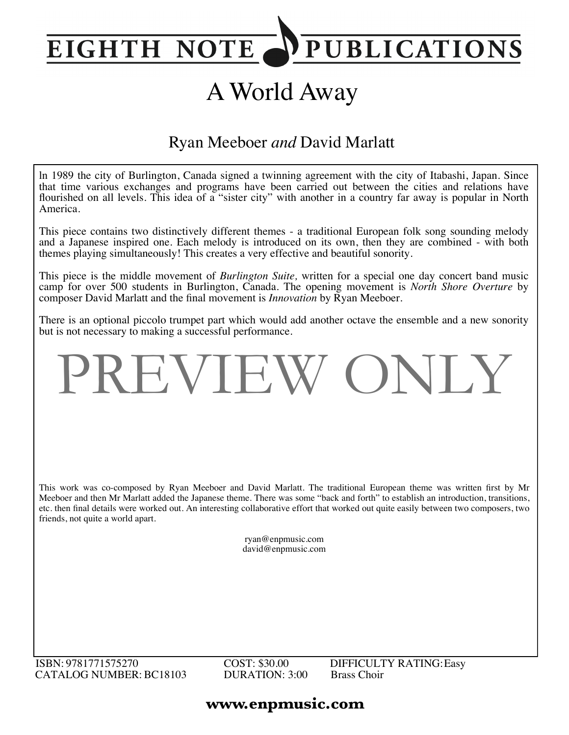### **PUBLICATIONS EIGHTH NOTE**

## A World Away

#### Ryan Meeboer *and* David Marlatt

ln 1989 the city of Burlington, Canada signed a twinning agreement with the city of Itabashi, Japan. Since that time various exchanges and programs have been carried out between the cities and relations have flourished on all levels. This idea of a "sister city" with another in a country far away is popular in North America.

This piece contains two distinctively different themes - a traditional European folk song sounding melody and a Japanese inspired one. Each melody is introduced on its own, then they are combined - with both themes playing simultaneously! This creates a very effective and beautiful sonority.

This piece is the middle movement of *Burlington Suite,* written for a special one day concert band music camp for over 500 students in Burlington, Canada. The opening movement is *North Shore Overture* by composer David Marlatt and the final movement is *Innovation* by Ryan Meeboer.

There is an optional piccolo trumpet part which would add another octave the ensemble and a new sonority but is not necessary to making a successful performance.

# PREVIEW ONLY

This work was co-composed by Ryan Meeboer and David Marlatt. The traditional European theme was written first by Mr Meeboer and then Mr Marlatt added the Japanese theme. There was some "back and forth" to establish an introduction, transitions, etc. then final details were worked out. An interesting collaborative effort that worked out quite easily between two composers, two friends, not quite a world apart.

> ryan@enpmusic.com david@enpmusic.com

ISBN: 9781771575270 CATALOG NUMBER:BC18103 COST: \$30.00 DURATION: 3:00 DIFFICULTY RATING:Easy Brass Choir

#### **www.enpmusic.com**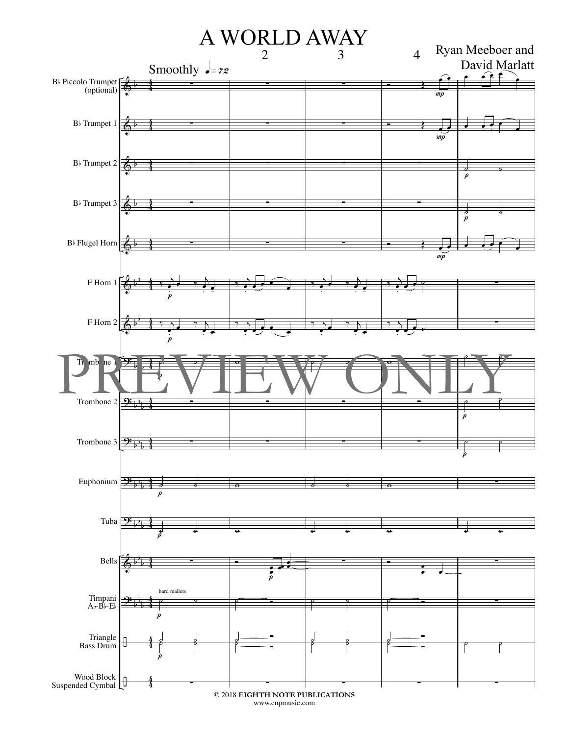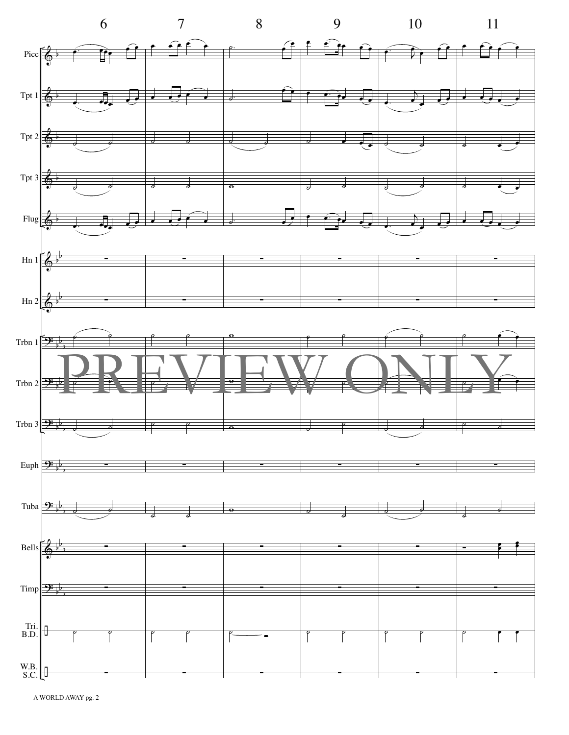

A WORLD AWAY pg. 2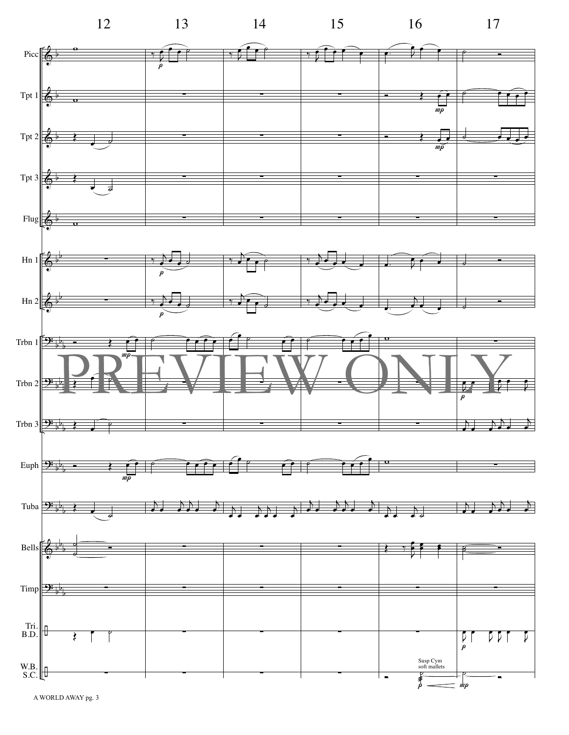

A WORLD AWAY pg. 3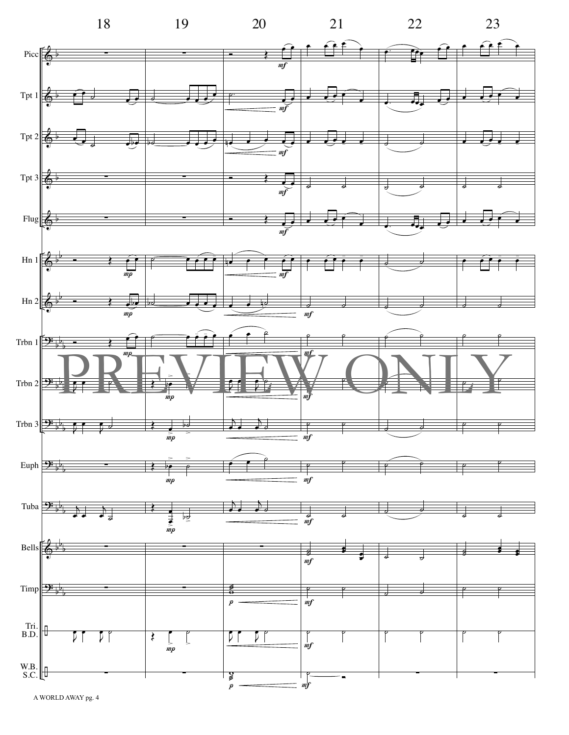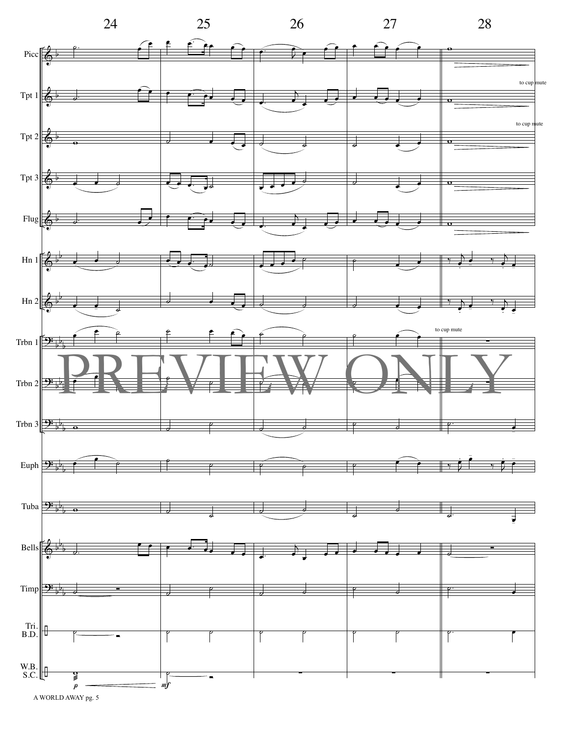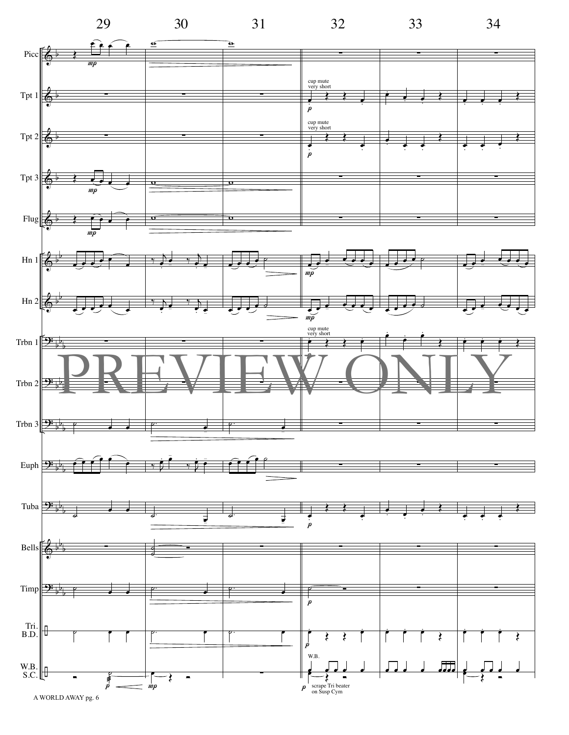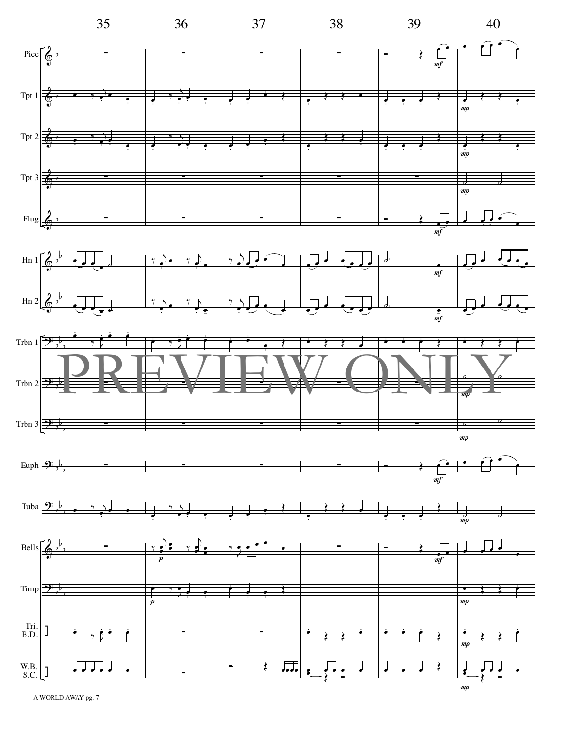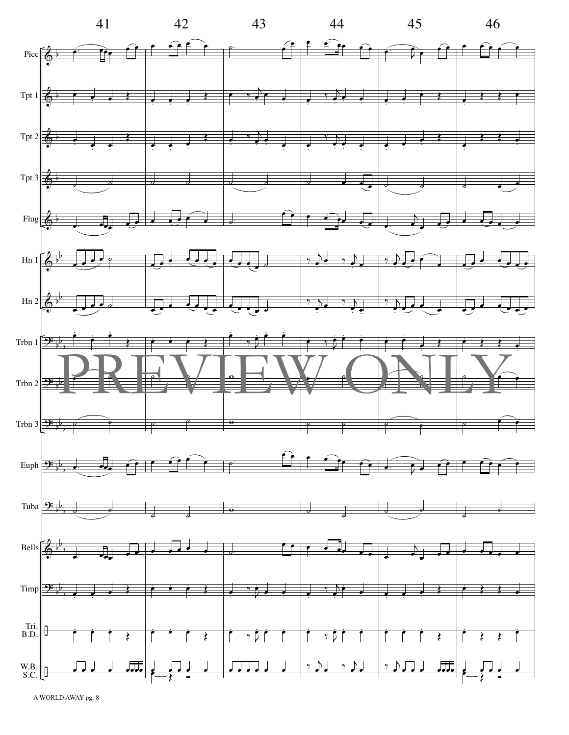